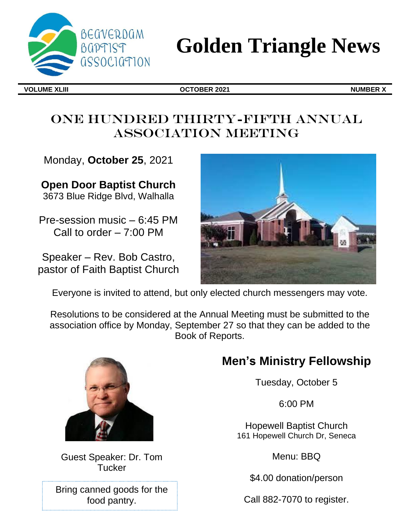

# **Golden Triangle News**

**VOLUME XLIII OCTOBER 2021 NUMBER X**

# ONE HUNDRED THIRTY-FIFTH ANNUAL Association Meeting

Monday, **October 25**, 2021

**Open Door Baptist Church** 3673 Blue Ridge Blvd, Walhalla

Pre-session music – 6:45 PM Call to order – 7:00 PM

Speaker – Rev. Bob Castro, pastor of Faith Baptist Church



Everyone is invited to attend, but only elected church messengers may vote.

Resolutions to be considered at the Annual Meeting must be submitted to the association office by Monday, September 27 so that they can be added to the Book of Reports.



Guest Speaker: Dr. Tom Tucker

Bring canned goods for the food pantry.

# **Men's Ministry Fellowship**

Tuesday, October 5

6:00 PM

Hopewell Baptist Church 161 Hopewell Church Dr, Seneca

Menu: BBQ

\$4.00 donation/person

Call 882-7070 to register.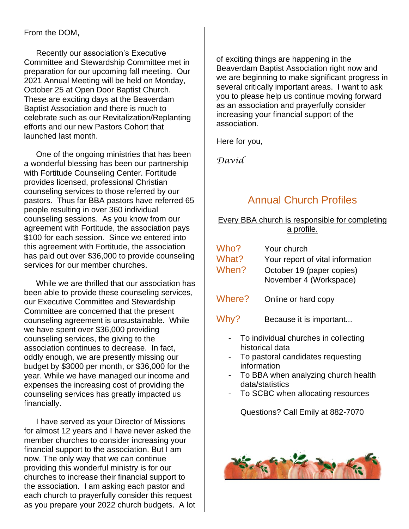### From the DOM,

Recently our association's Executive Committee and Stewardship Committee met in preparation for our upcoming fall meeting. Our 2021 Annual Meeting will be held on Monday, October 25 at Open Door Baptist Church. These are exciting days at the Beaverdam Baptist Association and there is much to celebrate such as our Revitalization/Replanting efforts and our new Pastors Cohort that launched last month.

One of the ongoing ministries that has been a wonderful blessing has been our partnership with Fortitude Counseling Center. Fortitude provides licensed, professional Christian counseling services to those referred by our pastors. Thus far BBA pastors have referred 65 people resulting in over 360 individual counseling sessions. As you know from our agreement with Fortitude, the association pays \$100 for each session. Since we entered into this agreement with Fortitude, the association has paid out over \$36,000 to provide counseling services for our member churches.

While we are thrilled that our association has been able to provide these counseling services, our Executive Committee and Stewardship Committee are concerned that the present counseling agreement is unsustainable. While we have spent over \$36,000 providing counseling services, the giving to the association continues to decrease. In fact, oddly enough, we are presently missing our budget by \$3000 per month, or \$36,000 for the year. While we have managed our income and expenses the increasing cost of providing the counseling services has greatly impacted us financially.

I have served as your Director of Missions for almost 12 years and I have never asked the member churches to consider increasing your financial support to the association. But I am now. The only way that we can continue providing this wonderful ministry is for our churches to increase their financial support to the association. I am asking each pastor and each church to prayerfully consider this request as you prepare your 2022 church budgets. A lot of exciting things are happening in the Beaverdam Baptist Association right now and we are beginning to make significant progress in several critically important areas. I want to ask you to please help us continue moving forward as an association and prayerfully consider increasing your financial support of the association.

Here for you,

*David* 

# Annual Church Profiles

#### Every BBA church is responsible for completing a profile.

| Who?<br>What? | Your church<br>Your report of vital information     |
|---------------|-----------------------------------------------------|
| When?         | October 19 (paper copies)<br>November 4 (Workspace) |
| Where?        | Online or hard copy                                 |

- Why? Because it is important...
	- To individual churches in collecting historical data
	- To pastoral candidates requesting information
	- To BBA when analyzing church health data/statistics
	- To SCBC when allocating resources

Questions? Call Emily at 882-7070

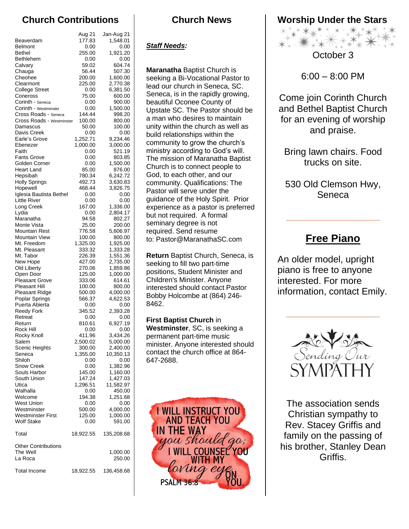## **Church Contributions**

|                                    | Aug 21             | Jan-Aug 21           |
|------------------------------------|--------------------|----------------------|
| Beaverdam                          | 177.83             | 1,548.01             |
| <b>Belmont</b>                     | 0.00               | 0.00                 |
| <b>Bethel</b>                      | 255.00             | 1,921.20             |
| Bethlehem                          | 0.00               | 0.00                 |
| Calvary                            | 59.02              | 604.74               |
| Chauga                             | 56.44              | 507.30               |
| Cheohee                            | 200.00             | 1,600.00             |
| Clearmont<br><b>College Street</b> | 225.00<br>0.00     | 2,770.38<br>6,381.50 |
| Coneross                           | 75.00              | 600.00               |
| Corinth - Seneca                   | 0.00               | 900.00               |
| Corinth - Westminster              | 0.00               | 1,500.00             |
| Cross Roads - Seneca               | 144.44             | 998.20               |
| Cross Roads - Westminster          | 100.00             | 800.00               |
| Damascus                           | 50.00              | 100.00               |
| Davis Creek                        | 0.00               | 0.00                 |
| Earle's Grove                      | 1,252.71           | 9,234.46             |
| Ebenezer<br>Faith                  | 1,000.00<br>0.00   | 3,000.00<br>521.19   |
| <b>Fants Grove</b>                 | 0.00               | 803.85               |
| Golden Corner                      | 0.00               | 1,500.00             |
| Heart Land                         | 85.00              | 876.00               |
| Hepsibah                           | 780.34             | 6,242.72             |
| <b>Holly Springs</b>               | 492.73             | 3,630.83             |
| Hopewell                           | 468.44             | 3,826.75             |
| Iglesia Bautista Bethel            | 0.00               | 0.00                 |
| <b>Little River</b>                | 0.00               | 0.00                 |
| Long Creek<br>Lydia                | 167.00             | 1,336.00             |
| Maranatha                          | 0.00<br>94.58      | 2,804.17<br>802.27   |
| Monte Vista                        | 25.00              | 200.00               |
| Mountain Rest                      | 776.58             | 5,606.97             |
| Mountain View                      | 100.00             | 800.00               |
| Mt. Freedom                        | 1,325.00           | 1,925.00             |
| Mt. Pleasant                       | 333.32             | 1,333.28             |
| Mt. Tabor                          | 226.39             | 1,551.36             |
| New Hope                           | 427.00             | 2,735.00             |
| Old Liberty                        | 270.06             | 1,859.86             |
| Open Door<br><b>Pleasant Grove</b> | 125.00<br>333.06   | 1,000.00<br>614.61   |
| Pleasant Hill                      | 100.00             | 800.00               |
| Pleasant Ridge                     | 500.00             | 4,000.00             |
| Poplar Springs                     | 566.37             | 4,622.53             |
| Puerta Abierta                     | 0.00               | 0.00                 |
| <b>Reedy Fork</b>                  | 345.52             | 2,393.28             |
| Retreat                            | 0.00               | 0.00                 |
| Return                             | 810.61             | 6,927.19             |
| Rock Hill<br>Rocky Knoll           | 0.00               | 0.00                 |
| Salem                              | 411.96<br>2,500.02 | 3,434.26<br>5,000.00 |
| Scenic Heights                     | 300.00             | 2,400.00             |
| Seneca                             | 1,355.00           | 10,350.13            |
| Shiloh                             | 0.00               | 0.00                 |
| Snow Creek                         | 0.00               | 1,382.96             |
| Souls Harbor                       | 145.00             | 1,160.00             |
| South Union                        | 147.24             | 1,427.03             |
| Utica                              | 1,296.51           | 11,582.97            |
| Walhalla                           | 0.00               | 450.00               |
| Welcome<br>West Union              | 194.38             | 1,251.68             |
| Westminster                        | 0.00<br>500.00     | 0.00<br>4,000.00     |
| Westminster First                  | 125.00             | 1,000.00             |
| <b>Wolf Stake</b>                  | 0.00               | 591.00               |
| Total                              | 18,922.55          | 135,208.68           |
| <b>Other Contributions</b>         |                    |                      |
| The Well                           |                    | 1,000.00             |
| La Roca                            |                    | 250.00               |
| Total Income                       | 18,922.55          | 136,458.68           |

### **Church News**

*Staff Needs:* 

**Maranatha** Baptist Church is seeking a Bi-Vocational Pastor to lead our church in Seneca, SC. Seneca, is in the rapidly growing, beautiful Oconee County of Upstate SC. The Pastor should be a man who desires to maintain unity within the church as well as build relationships within the community to grow the church's ministry according to God's will. The mission of Maranatha Baptist Church is to connect people to God, to each other, and our community. Qualifications: The Pastor will serve under the guidance of the Holy Spirit. Prior experience as a pastor is preferred but not required. A formal seminary degree is not required. Send resume to: Pastor@MaranathaSC.com

**Return** Baptist Church, Seneca, is seeking to fill two part-time positions, Student Minister and Children's Minister. Anyone interested should contact Pastor Bobby Holcombe at (864) 246- 8462.

**First Baptist Church** in **Westminster**, SC, is seeking a permanent part-time music minister. Anyone interested should contact the church office at 864- 647-2688.



**Worship Under the Stars** 



October 3

6:00 – 8:00 PM

Come join Corinth Church and Bethel Baptist Church for an evening of worship and praise.

Bring lawn chairs. Food trucks on site.

530 Old Clemson Hwy, Seneca

## **Free Piano**

**\_\_\_\_\_\_\_\_\_\_\_\_\_\_\_\_\_\_**

An older model, upright piano is free to anyone interested. For more information, contact Emily.

**\_\_\_\_\_\_\_\_\_\_\_\_\_\_\_\_\_\_**



The association sends Christian sympathy to Rev. Stacey Griffis and family on the passing of his brother, Stanley Dean Griffis.